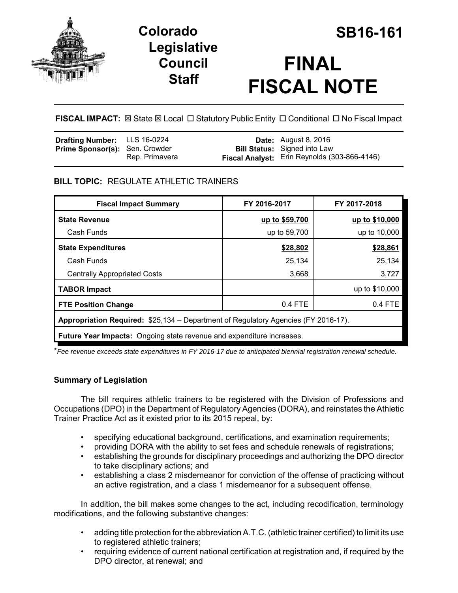

# **Colorado SB16-161 Legislative Council Staff**



# **FINAL FISCAL NOTE**

**FISCAL IMPACT:** ⊠ State ⊠ Local □ Statutory Public Entity □ Conditional □ No Fiscal Impact

| <b>Drafting Number:</b> LLS 16-0224   |                | <b>Date:</b> August 8, 2016                  |
|---------------------------------------|----------------|----------------------------------------------|
| <b>Prime Sponsor(s): Sen. Crowder</b> |                | <b>Bill Status:</b> Signed into Law          |
|                                       | Rep. Primavera | Fiscal Analyst: Erin Reynolds (303-866-4146) |

# **BILL TOPIC:** REGULATE ATHLETIC TRAINERS

| <b>Fiscal Impact Summary</b>                                                       | FY 2016-2017   | FY 2017-2018   |  |  |
|------------------------------------------------------------------------------------|----------------|----------------|--|--|
| <b>State Revenue</b>                                                               | up to \$59,700 | up to \$10,000 |  |  |
| Cash Funds                                                                         | up to 59,700   | up to 10,000   |  |  |
| <b>State Expenditures</b>                                                          | \$28,802       | \$28,861       |  |  |
| Cash Funds                                                                         | 25,134         | 25,134         |  |  |
| <b>Centrally Appropriated Costs</b>                                                | 3,668          | 3,727          |  |  |
| <b>TABOR Impact</b>                                                                |                | up to \$10,000 |  |  |
| <b>FTE Position Change</b>                                                         | 0.4 FTE        | 0.4 FTE        |  |  |
| Appropriation Required: \$25,134 – Department of Regulatory Agencies (FY 2016-17). |                |                |  |  |
| <b>Future Year Impacts:</b> Ongoing state revenue and expenditure increases.       |                |                |  |  |

\**Fee revenue exceeds state expenditures in FY 2016-17 due to anticipated biennial registration renewal schedule.*

# **Summary of Legislation**

The bill requires athletic trainers to be registered with the Division of Professions and Occupations (DPO) in the Department of Regulatory Agencies (DORA), and reinstates the Athletic Trainer Practice Act as it existed prior to its 2015 repeal, by:

- specifying educational background, certifications, and examination requirements;
- providing DORA with the ability to set fees and schedule renewals of registrations;
- establishing the grounds for disciplinary proceedings and authorizing the DPO director to take disciplinary actions; and
- establishing a class 2 misdemeanor for conviction of the offense of practicing without an active registration, and a class 1 misdemeanor for a subsequent offense.

In addition, the bill makes some changes to the act, including recodification, terminology modifications, and the following substantive changes:

- adding title protection for the abbreviation A.T.C. (athletic trainer certified) to limit its use to registered athletic trainers:
- requiring evidence of current national certification at registration and, if required by the DPO director, at renewal; and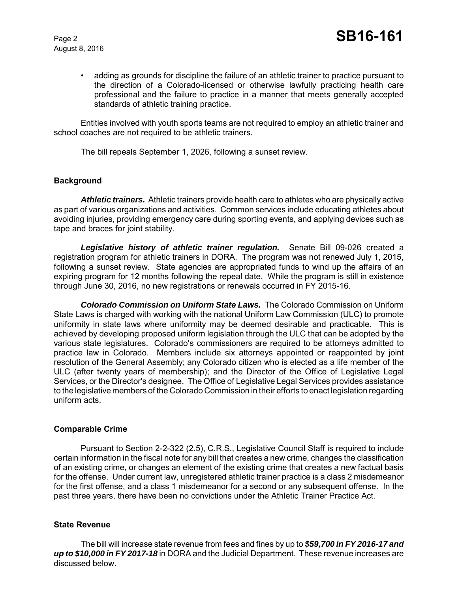• adding as grounds for discipline the failure of an athletic trainer to practice pursuant to the direction of a Colorado-licensed or otherwise lawfully practicing health care professional and the failure to practice in a manner that meets generally accepted standards of athletic training practice.

Entities involved with youth sports teams are not required to employ an athletic trainer and school coaches are not required to be athletic trainers.

The bill repeals September 1, 2026, following a sunset review.

# **Background**

*Athletic trainers.* Athletic trainers provide health care to athletes who are physically active as part of various organizations and activities. Common services include educating athletes about avoiding injuries, providing emergency care during sporting events, and applying devices such as tape and braces for joint stability.

*Legislative history of athletic trainer regulation.* Senate Bill 09-026 created a registration program for athletic trainers in DORA. The program was not renewed July 1, 2015, following a sunset review. State agencies are appropriated funds to wind up the affairs of an expiring program for 12 months following the repeal date. While the program is still in existence through June 30, 2016, no new registrations or renewals occurred in FY 2015-16.

*Colorado Commission on Uniform State Laws.* The Colorado Commission on Uniform State Laws is charged with working with the national Uniform Law Commission (ULC) to promote uniformity in state laws where uniformity may be deemed desirable and practicable. This is achieved by developing proposed uniform legislation through the ULC that can be adopted by the various state legislatures. Colorado's commissioners are required to be attorneys admitted to practice law in Colorado. Members include six attorneys appointed or reappointed by joint resolution of the General Assembly; any Colorado citizen who is elected as a life member of the ULC (after twenty years of membership); and the Director of the Office of Legislative Legal Services, or the Director's designee. The Office of Legislative Legal Services provides assistance to the legislative members of the Colorado Commission in their efforts to enact legislation regarding uniform acts.

# **Comparable Crime**

Pursuant to Section 2-2-322 (2.5), C.R.S., Legislative Council Staff is required to include certain information in the fiscal note for any bill that creates a new crime, changes the classification of an existing crime, or changes an element of the existing crime that creates a new factual basis for the offense. Under current law, unregistered athletic trainer practice is a class 2 misdemeanor for the first offense, and a class 1 misdemeanor for a second or any subsequent offense. In the past three years, there have been no convictions under the Athletic Trainer Practice Act.

# **State Revenue**

The bill will increase state revenue from fees and fines by up to *\$59,700 in FY 2016-17 and up to \$10,000 in FY 2017-18* in DORA and the Judicial Department. These revenue increases are discussed below.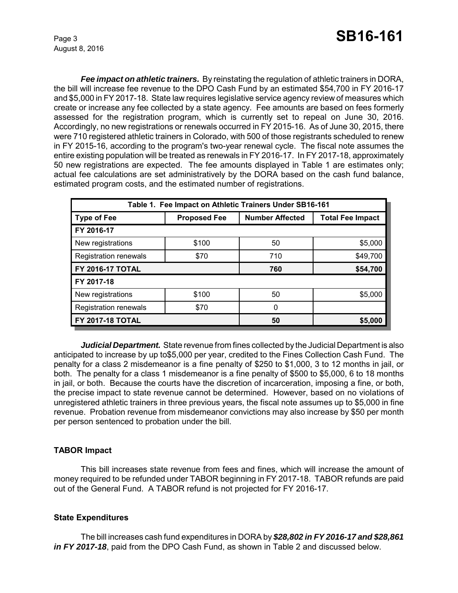*Fee impact on athletic trainers.* By reinstating the regulation of athletic trainers in DORA, the bill will increase fee revenue to the DPO Cash Fund by an estimated \$54,700 in FY 2016-17 and \$5,000 in FY 2017-18. State law requires legislative service agency review of measures which create or increase any fee collected by a state agency. Fee amounts are based on fees formerly assessed for the registration program, which is currently set to repeal on June 30, 2016. Accordingly, no new registrations or renewals occurred in FY 2015-16. As of June 30, 2015, there were 710 registered athletic trainers in Colorado, with 500 of those registrants scheduled to renew in FY 2015-16, according to the program's two-year renewal cycle. The fiscal note assumes the entire existing population will be treated as renewals in FY 2016-17. In FY 2017-18, approximately 50 new registrations are expected. The fee amounts displayed in Table 1 are estimates only; actual fee calculations are set administratively by the DORA based on the cash fund balance, estimated program costs, and the estimated number of registrations.

| Table 1. Fee Impact on Athletic Trainers Under SB16-161 |                     |                        |                         |  |  |  |
|---------------------------------------------------------|---------------------|------------------------|-------------------------|--|--|--|
| <b>Type of Fee</b>                                      | <b>Proposed Fee</b> | <b>Number Affected</b> | <b>Total Fee Impact</b> |  |  |  |
| FY 2016-17                                              |                     |                        |                         |  |  |  |
| New registrations                                       | \$100               | 50                     | \$5,000                 |  |  |  |
| <b>Registration renewals</b>                            | \$70                | 710                    | \$49,700                |  |  |  |
| <b>FY 2016-17 TOTAL</b>                                 |                     | 760                    | \$54,700                |  |  |  |
| FY 2017-18                                              |                     |                        |                         |  |  |  |
| New registrations                                       | \$100               | 50                     | \$5,000                 |  |  |  |
| <b>Registration renewals</b>                            | \$70                | 0                      |                         |  |  |  |
| <b>FY 2017-18 TOTAL</b>                                 |                     | 50                     | \$5,000                 |  |  |  |

*Judicial Department.* State revenue from fines collected by the Judicial Department is also anticipated to increase by up to\$5,000 per year, credited to the Fines Collection Cash Fund. The penalty for a class 2 misdemeanor is a fine penalty of \$250 to \$1,000, 3 to 12 months in jail, or both. The penalty for a class 1 misdemeanor is a fine penalty of \$500 to \$5,000, 6 to 18 months in jail, or both. Because the courts have the discretion of incarceration, imposing a fine, or both, the precise impact to state revenue cannot be determined. However, based on no violations of unregistered athletic trainers in three previous years, the fiscal note assumes up to \$5,000 in fine revenue. Probation revenue from misdemeanor convictions may also increase by \$50 per month per person sentenced to probation under the bill.

# **TABOR Impact**

This bill increases state revenue from fees and fines, which will increase the amount of money required to be refunded under TABOR beginning in FY 2017-18. TABOR refunds are paid out of the General Fund. A TABOR refund is not projected for FY 2016-17.

# **State Expenditures**

The bill increases cash fund expenditures in DORA by *\$28,802 in FY 2016-17 and \$28,861 in FY 2017-18*, paid from the DPO Cash Fund, as shown in Table 2 and discussed below.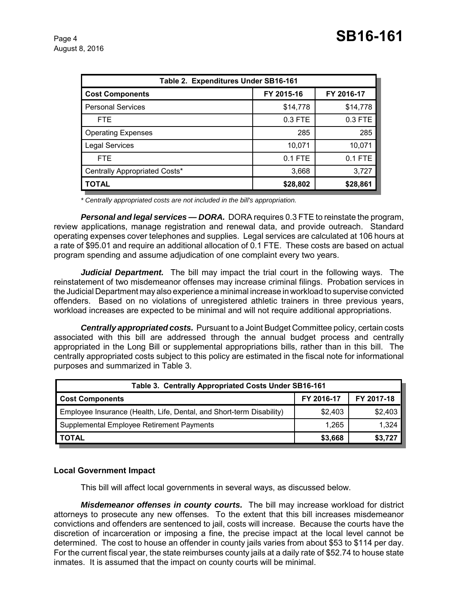| Table 2. Expenditures Under SB16-161 |            |            |  |  |  |
|--------------------------------------|------------|------------|--|--|--|
| <b>Cost Components</b>               | FY 2015-16 | FY 2016-17 |  |  |  |
| <b>Personal Services</b>             | \$14,778   | \$14,778   |  |  |  |
| <b>FTE</b>                           | 0.3 FTE    | 0.3 FTE    |  |  |  |
| <b>Operating Expenses</b>            | 285        | 285        |  |  |  |
| <b>Legal Services</b>                | 10,071     | 10,071     |  |  |  |
| <b>FTE</b>                           | $0.1$ FTE  | 0.1 FTE    |  |  |  |
| Centrally Appropriated Costs*        | 3,668      | 3,727      |  |  |  |
| <b>TOTAL</b>                         | \$28,802   | \$28,861   |  |  |  |

*\* Centrally appropriated costs are not included in the bill's appropriation.*

*Personal and legal services — DORA.* DORA requires 0.3 FTE to reinstate the program, review applications, manage registration and renewal data, and provide outreach. Standard operating expenses cover telephones and supplies. Legal services are calculated at 106 hours at a rate of \$95.01 and require an additional allocation of 0.1 FTE. These costs are based on actual program spending and assume adjudication of one complaint every two years.

*Judicial Department.* The bill may impact the trial court in the following ways. The reinstatement of two misdemeanor offenses may increase criminal filings. Probation services in the Judicial Department may also experience a minimal increase in workload to supervise convicted offenders. Based on no violations of unregistered athletic trainers in three previous years, workload increases are expected to be minimal and will not require additional appropriations.

*Centrally appropriated costs.* Pursuant to a Joint Budget Committee policy, certain costs associated with this bill are addressed through the annual budget process and centrally appropriated in the Long Bill or supplemental appropriations bills, rather than in this bill. The centrally appropriated costs subject to this policy are estimated in the fiscal note for informational purposes and summarized in Table 3.

| Table 3. Centrally Appropriated Costs Under SB16-161                 |            |            |  |  |  |
|----------------------------------------------------------------------|------------|------------|--|--|--|
| <b>Cost Components</b>                                               | FY 2016-17 | FY 2017-18 |  |  |  |
| Employee Insurance (Health, Life, Dental, and Short-term Disability) | \$2,403    | \$2,403    |  |  |  |
| Supplemental Employee Retirement Payments                            | 1.265      | 1,324      |  |  |  |
| <b>TOTAL</b>                                                         | \$3,668    | \$3,727    |  |  |  |

# **Local Government Impact**

This bill will affect local governments in several ways, as discussed below.

*Misdemeanor offenses in county courts.* The bill may increase workload for district attorneys to prosecute any new offenses. To the extent that this bill increases misdemeanor convictions and offenders are sentenced to jail, costs will increase. Because the courts have the discretion of incarceration or imposing a fine, the precise impact at the local level cannot be determined. The cost to house an offender in county jails varies from about \$53 to \$114 per day. For the current fiscal year, the state reimburses county jails at a daily rate of \$52.74 to house state inmates. It is assumed that the impact on county courts will be minimal.